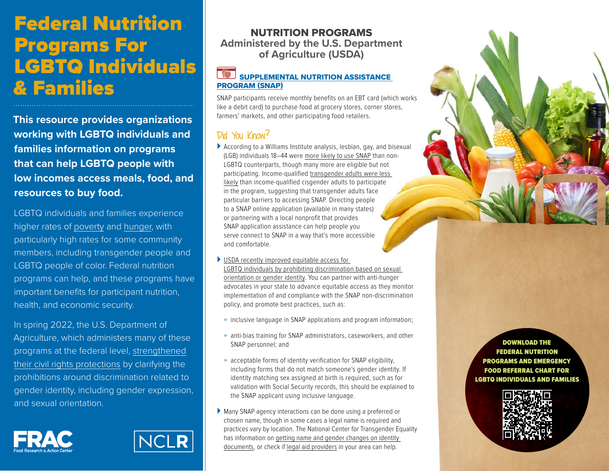# Federal Nutrition Programs For LGBTQ Individuals & Families

**This resource provides organizations working with LGBTQ individuals and families information on programs that can help LGBTQ people with low incomes access meals, food, and resources to buy food.** 

LGBTQ individuals and families experience higher rates of [poverty](https://williamsinstitute.law.ucla.edu/publications/lgbt-poverty-us/) and [hunger](https://williamsinstitute.law.ucla.edu/publications/lgbt-food-insufficiency/), with particularly high rates for some community members, including transgender people and LGBTQ people of color. Federal nutrition programs can help, and these programs have important benefits for participant nutrition, health, and economic security.

In spring 2022, the U.S. Department of Agriculture, which administers many of these programs at the federal level, [strengthened](https://www.fns.usda.gov/cr/crd-01-2022) [their civil rights protections](https://www.fns.usda.gov/cr/crd-01-2022) by clarifying the prohibitions around discrimination related to gender identity, including gender expression, and sexual orientation.





### NUTRITION PROGRAMS **Administered by the U.S. Department of Agriculture (USDA)**

#### [SUPPLEMENTAL NUTRITION ASSISTANCE](https://frac.org/programs/supplemental-nutrition-assistance-program-snap) [PROGRAM \(SNAP\)](https://frac.org/programs/supplemental-nutrition-assistance-program-snap)

SNAP participants receive monthly benefits on an EBT card (which works like a debit card) to purchase food at grocery stores, corner stores, farmers' markets, and other participating food retailers.

### Did You Know?

- ` According to a Williams Institute analysis, lesbian, gay, and bisexual (LGB) individuals 18–44 were [more likely to use SNAP](https://williamsinstitute.law.ucla.edu/publications/lgbt-food-insecurity-snap/) than non-LGBTQ counterparts, though many more are eligible but not participating. Income-qualified [transgender adults were less](https://williamsinstitute.law.ucla.edu/publications/trans-food-insufficiency-covid/)  [likely](https://williamsinstitute.law.ucla.edu/publications/trans-food-insufficiency-covid/) than income-qualified cisgender adults to participate in the program, suggesting that transgender adults face particular barriers to accessing SNAP. Directing people to a SNAP online application (available in many states) or partnering with a local nonprofit that provides SNAP application assistance can help people you serve connect to SNAP in a way that's more accessible and comfortable.
- $\blacktriangleright$  USDA recently improved equitable access for [LGBTQ individuals by prohibiting discrimination based on sexual](https://frac.org/blog/usda-improves-equitable-snap-access-for-lgbtqia)  [orientation or gender identity](https://frac.org/blog/usda-improves-equitable-snap-access-for-lgbtqia). You can partner with anti-hunger advocates in your state to advance equitable access as they monitor implementation of and compliance with the SNAP non-discrimination policy, and promote best practices, such as:
- » inclusive language in SNAP applications and program information;
- » anti-bias training for SNAP administrators, caseworkers, and other SNAP personnel; and
- » acceptable forms of identity verification for SNAP eligibility, including forms that do not match someone's gender identity. If identity matching sex assigned at birth is required, such as for validation with Social Security records, this should be explained to the SNAP applicant using inclusive language.
- ` Many SNAP agency interactions can be done using a preferred or chosen name, though in some cases a legal name is required and practices vary by location. The National Center for Transgender Equality has information on [getting name and gender changes on identity](https://transequality.org/documents)  [documents,](https://transequality.org/documents) or check if [legal aid providers](https://www.lawhelp.org/find-help) in your area can help.



DOWNLOAD THE FEDERAL NUTRITION PROGRAMS AND EMERGENCY FOOD REFERRAL CHART FOR [LGBTQ INDIVIDUALS AND FAMILIES](https://frac.org/research/resource-library/get-food-help-fnp-referral-chart-lgbtq)